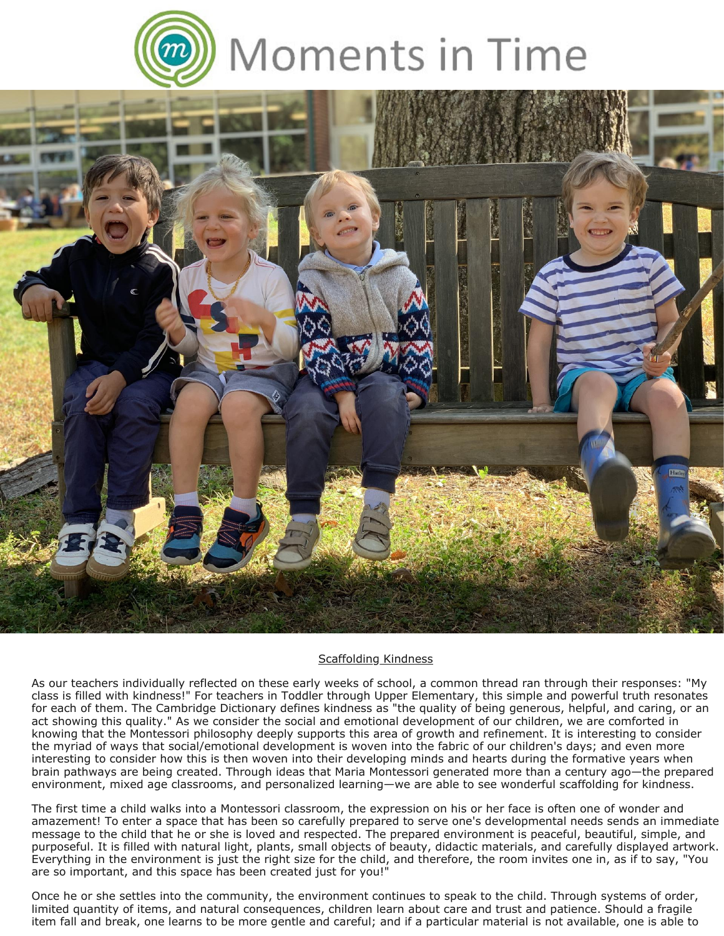

## Moments in Time



## Scaffolding Kindness

As our teachers individually reflected on these early weeks of school, a common thread ran through their responses: "My class is filled with kindness!" For teachers in Toddler through Upper Elementary, this simple and powerful truth resonates for each of them. The Cambridge Dictionary defines kindness as "the quality of being generous, helpful, and caring, or an act showing this quality." As we consider the social and emotional development of our children, we are comforted in knowing that the Montessori philosophy deeply supports this area of growth and refinement. It is interesting to consider the myriad of ways that social/emotional development is woven into the fabric of our children's days; and even more interesting to consider how this is then woven into their developing minds and hearts during the formative years when brain pathways are being created. Through ideas that Maria Montessori generated more than a century ago—the prepared environment, mixed age classrooms, and personalized learning—we are able to see wonderful scaffolding for kindness.

The first time a child walks into a Montessori classroom, the expression on his or her face is often one of wonder and amazement! To enter a space that has been so carefully prepared to serve one's developmental needs sends an immediate message to the child that he or she is loved and respected. The prepared environment is peaceful, beautiful, simple, and purposeful. It is filled with natural light, plants, small objects of beauty, didactic materials, and carefully displayed artwork. Everything in the environment is just the right size for the child, and therefore, the room invites one in, as if to say, "You are so important, and this space has been created just for you!"

Once he or she settles into the community, the environment continues to speak to the child. Through systems of order, limited quantity of items, and natural consequences, children learn about care and trust and patience. Should a fragile item fall and break, one learns to be more gentle and careful; and if a particular material is not available, one is able to